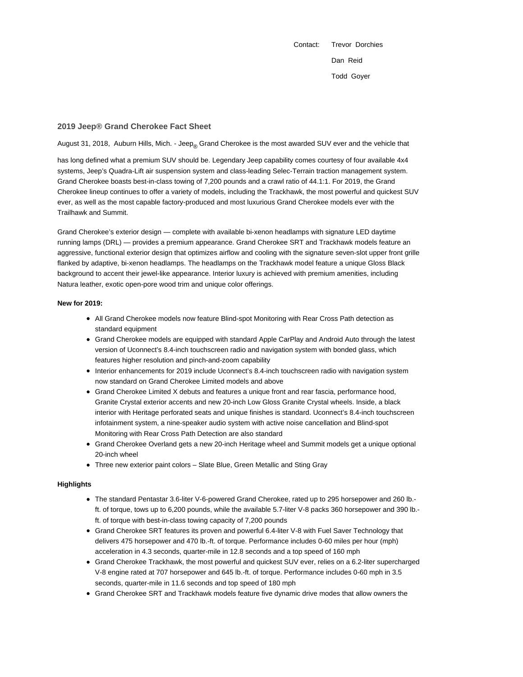Contact: Trevor Dorchies Dan Reid Todd Goyer

## **2019 Jeep® Grand Cherokee Fact Sheet**

August 31, 2018, Auburn Hills, Mich. - Jeep<sub>®</sub> Grand Cherokee is the most awarded SUV ever and the vehicle that

has long defined what a premium SUV should be. Legendary Jeep capability comes courtesy of four available 4x4 systems, Jeep's Quadra-Lift air suspension system and class-leading Selec-Terrain traction management system. Grand Cherokee boasts best-in-class towing of 7,200 pounds and a crawl ratio of 44.1:1. For 2019, the Grand Cherokee lineup continues to offer a variety of models, including the Trackhawk, the most powerful and quickest SUV ever, as well as the most capable factory-produced and most luxurious Grand Cherokee models ever with the Trailhawk and Summit.

Grand Cherokee's exterior design — complete with available bi-xenon headlamps with signature LED daytime running lamps (DRL) — provides a premium appearance. Grand Cherokee SRT and Trackhawk models feature an aggressive, functional exterior design that optimizes airflow and cooling with the signature seven-slot upper front grille flanked by adaptive, bi-xenon headlamps. The headlamps on the Trackhawk model feature a unique Gloss Black background to accent their jewel-like appearance. Interior luxury is achieved with premium amenities, including Natura leather, exotic open-pore wood trim and unique color offerings.

## **New for 2019:**

- All Grand Cherokee models now feature Blind-spot Monitoring with Rear Cross Path detection as standard equipment
- Grand Cherokee models are equipped with standard Apple CarPlay and Android Auto through the latest version of Uconnect's 8.4-inch touchscreen radio and navigation system with bonded glass, which features higher resolution and pinch-and-zoom capability
- Interior enhancements for 2019 include Uconnect's 8.4-inch touchscreen radio with navigation system now standard on Grand Cherokee Limited models and above
- Grand Cherokee Limited X debuts and features a unique front and rear fascia, performance hood, Granite Crystal exterior accents and new 20-inch Low Gloss Granite Crystal wheels. Inside, a black interior with Heritage perforated seats and unique finishes is standard. Uconnect's 8.4-inch touchscreen infotainment system, a nine-speaker audio system with active noise cancellation and Blind-spot Monitoring with Rear Cross Path Detection are also standard
- Grand Cherokee Overland gets a new 20-inch Heritage wheel and Summit models get a unique optional 20-inch wheel
- Three new exterior paint colors Slate Blue, Green Metallic and Sting Gray

## **Highlights**

- The standard Pentastar 3.6-liter V-6-powered Grand Cherokee, rated up to 295 horsepower and 260 lb. ft. of torque, tows up to 6,200 pounds, while the available 5.7-liter V-8 packs 360 horsepower and 390 lb. ft. of torque with best-in-class towing capacity of 7,200 pounds
- Grand Cherokee SRT features its proven and powerful 6.4-liter V-8 with Fuel Saver Technology that delivers 475 horsepower and 470 lb.-ft. of torque. Performance includes 0-60 miles per hour (mph) acceleration in 4.3 seconds, quarter-mile in 12.8 seconds and a top speed of 160 mph
- Grand Cherokee Trackhawk, the most powerful and quickest SUV ever, relies on a 6.2-liter supercharged V-8 engine rated at 707 horsepower and 645 lb.-ft. of torque. Performance includes 0-60 mph in 3.5 seconds, quarter-mile in 11.6 seconds and top speed of 180 mph
- Grand Cherokee SRT and Trackhawk models feature five dynamic drive modes that allow owners the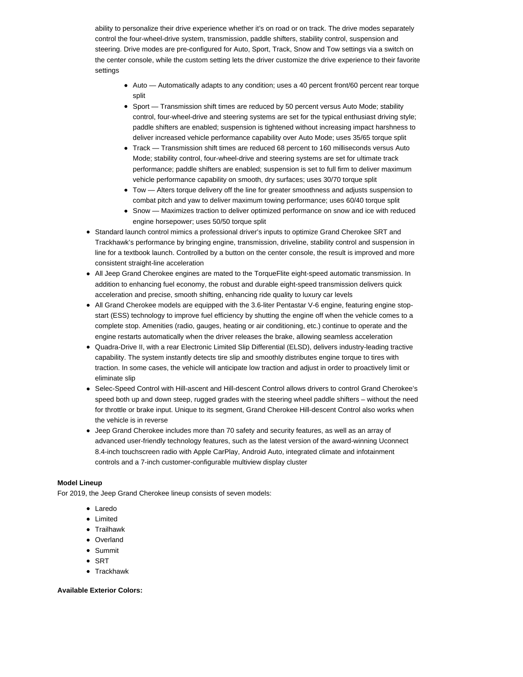ability to personalize their drive experience whether it's on road or on track. The drive modes separately control the four-wheel-drive system, transmission, paddle shifters, stability control, suspension and steering. Drive modes are pre-configured for Auto, Sport, Track, Snow and Tow settings via a switch on the center console, while the custom setting lets the driver customize the drive experience to their favorite settings

- Auto Automatically adapts to any condition; uses a 40 percent front/60 percent rear torque split
- Sport Transmission shift times are reduced by 50 percent versus Auto Mode; stability control, four-wheel-drive and steering systems are set for the typical enthusiast driving style; paddle shifters are enabled; suspension is tightened without increasing impact harshness to deliver increased vehicle performance capability over Auto Mode; uses 35/65 torque split
- Track Transmission shift times are reduced 68 percent to 160 milliseconds versus Auto Mode; stability control, four-wheel-drive and steering systems are set for ultimate track performance; paddle shifters are enabled; suspension is set to full firm to deliver maximum vehicle performance capability on smooth, dry surfaces; uses 30/70 torque split
- Tow Alters torque delivery off the line for greater smoothness and adjusts suspension to combat pitch and yaw to deliver maximum towing performance; uses 60/40 torque split
- **Show** Maximizes traction to deliver optimized performance on snow and ice with reduced engine horsepower; uses 50/50 torque split
- Standard launch control mimics a professional driver's inputs to optimize Grand Cherokee SRT and Trackhawk's performance by bringing engine, transmission, driveline, stability control and suspension in line for a textbook launch. Controlled by a button on the center console, the result is improved and more consistent straight-line acceleration
- All Jeep Grand Cherokee engines are mated to the TorqueFlite eight-speed automatic transmission. In addition to enhancing fuel economy, the robust and durable eight-speed transmission delivers quick acceleration and precise, smooth shifting, enhancing ride quality to luxury car levels
- All Grand Cherokee models are equipped with the 3.6-liter Pentastar V-6 engine, featuring engine stopstart (ESS) technology to improve fuel efficiency by shutting the engine off when the vehicle comes to a complete stop. Amenities (radio, gauges, heating or air conditioning, etc.) continue to operate and the engine restarts automatically when the driver releases the brake, allowing seamless acceleration
- Quadra-Drive II, with a rear Electronic Limited Slip Differential (ELSD), delivers industry-leading tractive capability. The system instantly detects tire slip and smoothly distributes engine torque to tires with traction. In some cases, the vehicle will anticipate low traction and adjust in order to proactively limit or eliminate slip
- Selec-Speed Control with Hill-ascent and Hill-descent Control allows drivers to control Grand Cherokee's speed both up and down steep, rugged grades with the steering wheel paddle shifters – without the need for throttle or brake input. Unique to its segment, Grand Cherokee Hill-descent Control also works when the vehicle is in reverse
- Jeep Grand Cherokee includes more than 70 safety and security features, as well as an array of advanced user-friendly technology features, such as the latest version of the award-winning Uconnect 8.4-inch touchscreen radio with Apple CarPlay, Android Auto, integrated climate and infotainment controls and a 7-inch customer-configurable multiview display cluster

# **Model Lineup**

For 2019, the Jeep Grand Cherokee lineup consists of seven models:

- Laredo
- Limited
- **•** Trailhawk
- Overland
- Summit
- $\bullet$  SRT
- Trackhawk

## **Available Exterior Colors:**